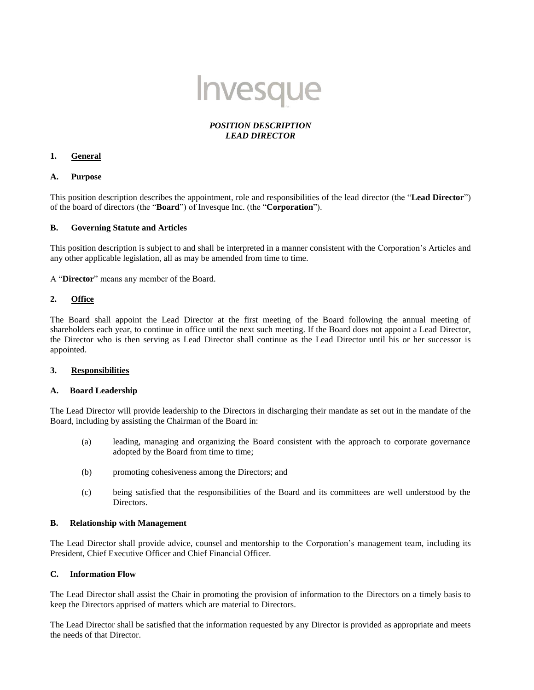

# *POSITION DESCRIPTION LEAD DIRECTOR*

## **1. General**

## **A. Purpose**

This position description describes the appointment, role and responsibilities of the lead director (the "**Lead Director**") of the board of directors (the "**Board**") of Invesque Inc. (the "**Corporation**").

## **B. Governing Statute and Articles**

This position description is subject to and shall be interpreted in a manner consistent with the Corporation's Articles and any other applicable legislation, all as may be amended from time to time.

A "**Director**" means any member of the Board.

## **2. Office**

The Board shall appoint the Lead Director at the first meeting of the Board following the annual meeting of shareholders each year, to continue in office until the next such meeting. If the Board does not appoint a Lead Director, the Director who is then serving as Lead Director shall continue as the Lead Director until his or her successor is appointed.

# **3. Responsibilities**

### **A. Board Leadership**

The Lead Director will provide leadership to the Directors in discharging their mandate as set out in the mandate of the Board, including by assisting the Chairman of the Board in:

- (a) leading, managing and organizing the Board consistent with the approach to corporate governance adopted by the Board from time to time;
- (b) promoting cohesiveness among the Directors; and
- (c) being satisfied that the responsibilities of the Board and its committees are well understood by the Directors.

### **B. Relationship with Management**

The Lead Director shall provide advice, counsel and mentorship to the Corporation's management team, including its President, Chief Executive Officer and Chief Financial Officer.

## **C. Information Flow**

The Lead Director shall assist the Chair in promoting the provision of information to the Directors on a timely basis to keep the Directors apprised of matters which are material to Directors.

The Lead Director shall be satisfied that the information requested by any Director is provided as appropriate and meets the needs of that Director.